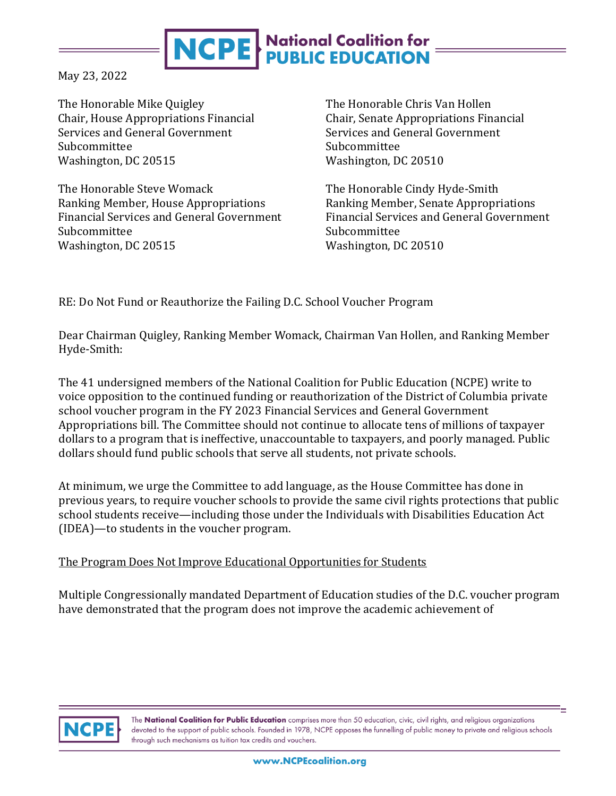# **NCPE** National Coalition for

May 23, 2022

The Honorable Mike Quigley Chair, House Appropriations Financial Services and General Government Subcommittee Washington, DC 20515

The Honorable Steve Womack Ranking Member, House Appropriations Financial Services and General Government Subcommittee Washington, DC 20515

The Honorable Chris Van Hollen Chair, Senate Appropriations Financial Services and General Government Subcommittee Washington, DC 20510

The Honorable Cindy Hyde-Smith Ranking Member, Senate Appropriations Financial Services and General Government Subcommittee Washington, DC 20510

RE: Do Not Fund or Reauthorize the Failing D.C. School Voucher Program

Dear Chairman Quigley, Ranking Member Womack, Chairman Van Hollen, and Ranking Member Hyde-Smith:

The 41 undersigned members of the National Coalition for Public Education (NCPE) write to voice opposition to the continued funding or reauthorization of the District of Columbia private school voucher program in the FY 2023 Financial Services and General Government Appropriations bill. The Committee should not continue to allocate tens of millions of taxpayer dollars to a program that is ineffective, unaccountable to taxpayers, and poorly managed. Public dollars should fund public schools that serve all students, not private schools.

At minimum, we urge the Committee to add language, as the House Committee has done in previous years, to require voucher schools to provide the same civil rights protections that public school students receive—including those under the Individuals with Disabilities Education Act (IDEA)—to students in the voucher program.

## The Program Does Not Improve Educational Opportunities for Students

Multiple Congressionally mandated Department of Education studies of the D.C. voucher program have demonstrated that the program does not improve the academic achievement of



The National Coalition for Public Education comprises more than 50 education, civic, civil rights, and religious organizations devoted to the support of public schools. Founded in 1978, NCPE opposes the funnelling of public money to private and religious schools through such mechanisms as tuition tax credits and vouchers.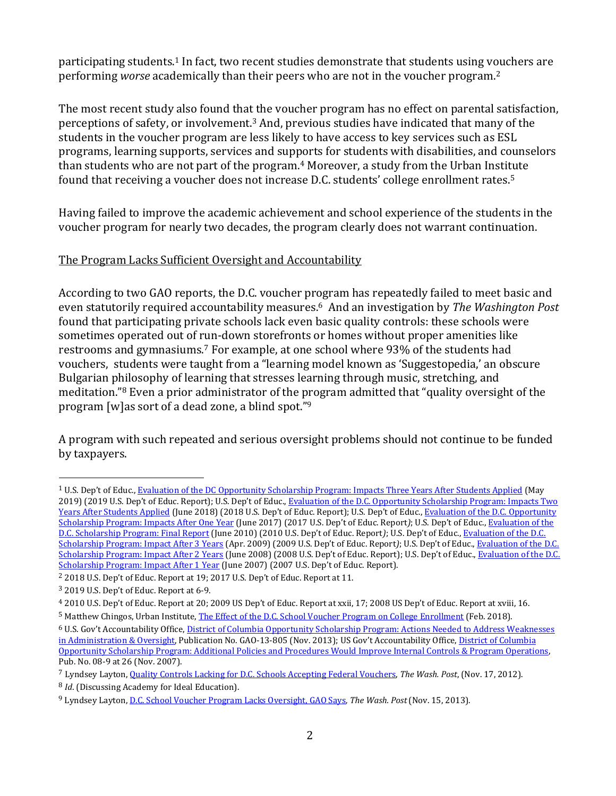participating students.<sup>1</sup> In fact, two recent studies demonstrate that students using vouchers are performing *worse* academically than their peers who are not in the voucher program.<sup>2</sup>

The most recent study also found that the voucher program has no effect on parental satisfaction, perceptions of safety, or involvement.<sup>3</sup> And, previous studies have indicated that many of the students in the voucher program are less likely to have access to key services such as ESL programs, learning supports, services and supports for students with disabilities, and counselors than students who are not part of the program.<sup>4</sup> Moreover, a study from the Urban Institute found that receiving a voucher does not increase D.C. students' college enrollment rates.<sup>5</sup>

Having failed to improve the academic achievement and school experience of the students in the voucher program for nearly two decades, the program clearly does not warrant continuation.

## The Program Lacks Sufficient Oversight and Accountability

According to two GAO reports, the D.C. voucher program has repeatedly failed to meet basic and even statutorily required accountability measures.6 And an investigation by *The Washington Post* found that participating private schools lack even basic quality controls: these schools were sometimes operated out of run-down storefronts or homes without proper amenities like restrooms and gymnasiums.<sup>7</sup> For example, at one school where 93% of the students had vouchers, students were taught from a "learning model known as 'Suggestopedia,' an obscure Bulgarian philosophy of learning that stresses learning through music, stretching, and meditation."<sup>8</sup> Even a prior administrator of the program admitted that "quality oversight of the program [w]as sort of a dead zone, a blind spot."<sup>9</sup>

A program with such repeated and serious oversight problems should not continue to be funded by taxpayers.

<sup>&</sup>lt;sup>1</sup> U.S. Dep't of Educ., [Evaluation of the DC Opportunity Scholarship Program: Impacts Three Years After Students Applied](https://ies.ed.gov/ncee/pubs/20194006/pdf/20194006.pdf) (May 2019) (2019 U.S. Dep't of Educ. Report); U.S. Dep't of Educ., [Evaluation of the](https://ies.ed.gov/ncee/pubs/20184010/pdf/20184010.pdf) [D.C. Opportunity Scholarship Program: Impacts Two](https://ies.ed.gov/ncee/pubs/20184010/pdf/20184010.pdf)  [Years After Students Applied](https://ies.ed.gov/ncee/pubs/20184010/pdf/20184010.pdf) (June 2018) (2018 U.S. Dep't of Educ. Report); U.S. Dep't of Educ., [Evaluation of the D.C. Opportunity](https://ies.ed.gov/ncee/pubs/20174022/pdf/20174022.pdf)  [Scholarship Program: Impacts After One Year](https://ies.ed.gov/ncee/pubs/20174022/pdf/20174022.pdf) (June 2017) (2017 U.S. Dep't of Educ. Report*)*; U.S. Dep't of Educ.[, Evaluation of the](https://ies.ed.gov/ncee/pubs/20104018/pdf/20104018.pdf)  [D.C. Scholarship Program: Final Report](https://ies.ed.gov/ncee/pubs/20104018/pdf/20104018.pdf) (June 2010) (2010 U.S. Dep't of Educ. Report*)*; U.S. Dep't of Educ., [Evaluation of the D.C.](https://ies.ed.gov/ncee/pubs/20094050/pdf/20094050.pdf)  [Scholarship Program: Impact After 3 Years](https://ies.ed.gov/ncee/pubs/20094050/pdf/20094050.pdf) (Apr. 2009) (2009 U.S. Dep't of Educ. Report*)*; U.S. Dep't of Educ.[, Evaluation of the D.C.](https://ies.ed.gov/ncee/pdf/20084023.pdf)  [Scholarship Program: Impact After 2 Years](https://ies.ed.gov/ncee/pdf/20084023.pdf) (June 2008) (2008 U.S. Dep't of Educ. Report); U.S. Dep't of Educ.[, Evaluation of the D.C.](https://ies.ed.gov/ncee/pdf/20074009.pdf)  [Scholarship Program: Impact After 1 Year](https://ies.ed.gov/ncee/pdf/20074009.pdf) (June 2007) (2007 U.S. Dep't of Educ. Report).

<sup>2</sup> 2018 U.S. Dep't of Educ. Report at 19; 2017 U.S. Dep't of Educ. Report at 11.

<sup>3</sup> 2019 U.S. Dep't of Educ. Report at 6-9.

<sup>4</sup> 2010 U.S. Dep't of Educ. Report at 20; 2009 US Dep't of Educ. Report at xxii, 17; 2008 US Dep't of Educ. Report at xviii, 16.

<sup>5</sup> Matthew Chingos, Urban Institute[, The Effect of the D.C. School Voucher Program on College Enrollment](https://www.urban.org/research/publication/effect-dc-school-voucher-program-college-enrollment/view/full_report) (Feb. 2018).

<sup>6</sup> U.S. Gov't Accountability Office, [District of Columbia Opportunity Scholarship Program: Actions Needed to Address Weaknesses](http://www.gao.gov/assets/660/658416.pdf)  [in Administration & Oversight,](http://www.gao.gov/assets/660/658416.pdf) Publication No. GAO-13-805 (Nov. 2013); US Gov't Accountability Office, District of Columbia [Opportunity Scholarship Program: Additional Policies and Procedures Would Improve Internal Controls & Program Operations,](http://www.gao.gov/new.items/d089.pdf)  Pub. No. 08-9 at 26 (Nov. 2007).

<sup>7</sup> Lyndsey Layton[, Quality Controls Lacking for D.C. Schools Accepting Federal Vouchers,](https://www.washingtonpost.com/local/education/quality-controls-lacking-for-dc-schools-accepting-federal-vouchers/2012/11/17/062bf97a-1e0d-11e2-b647-bb1668e64058_story.html?tid=a_inl_manual) *The Wash. Post*, (Nov. 17, 2012).

<sup>8</sup> *Id*. (Discussing Academy for Ideal Education).

<sup>9</sup> Lyndsey Layton, [D.C. School Voucher Program Lacks Oversight, GAO Says](http://www.washingtonpost.com/local/education/D.C.-school-voucher-program-lacks-oversight-gao-says/2013/11/15/9bb8c35e-4e3d-11e3-be6b-d3d28122e6d4_story.html)*, The Wash. Post*(Nov. 15, 2013).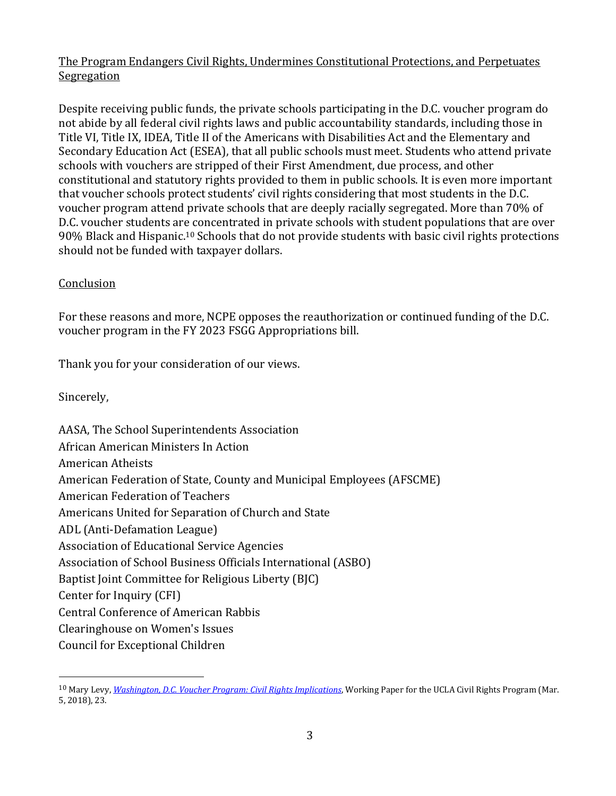## The Program Endangers Civil Rights, Undermines Constitutional Protections, and Perpetuates Segregation

Despite receiving public funds, the private schools participating in the D.C. voucher program do not abide by all federal civil rights laws and public accountability standards, including those in Title VI, Title IX, IDEA, Title II of the Americans with Disabilities Act and the Elementary and Secondary Education Act (ESEA), that all public schools must meet. Students who attend private schools with vouchers are stripped of their First Amendment, due process, and other constitutional and statutory rights provided to them in public schools. It is even more important that voucher schools protect students' civil rights considering that most students in the D.C. voucher program attend private schools that are deeply racially segregated. More than 70% of D.C. voucher students are concentrated in private schools with student populations that are over 90% Black and Hispanic.<sup>10</sup> Schools that do not provide students with basic civil rights protections should not be funded with taxpayer dollars.

#### **Conclusion**

For these reasons and more, NCPE opposes the reauthorization or continued funding of the D.C. voucher program in the FY 2023 FSGG Appropriations bill.

Thank you for your consideration of our views.

Sincerely,

AASA, The School Superintendents Association African American Ministers In Action American Atheists American Federation of State, County and Municipal Employees (AFSCME) American Federation of Teachers Americans United for Separation of Church and State ADL (Anti-Defamation League) Association of Educational Service Agencies Association of School Business Officials International (ASBO) Baptist Joint Committee for Religious Liberty (BJC) Center for Inquiry (CFI) Central Conference of American Rabbis Clearinghouse on Women's Issues Council for Exceptional Children

<sup>10</sup> Mary Levy, *[Washington, D.C. Voucher Program: Civil Rights Implications](https://www.civilrightsproject.ucla.edu/research/k-12-education/integration-and-diversity/washington-d.c.s-voucher-program-civil-rights-implications/Levy-DC-VOUCHER-PAPER-FINAL-TO-POST-030218C.pdf)*, Working Paper for the UCLA Civil Rights Program (Mar. 5, 2018), 23.